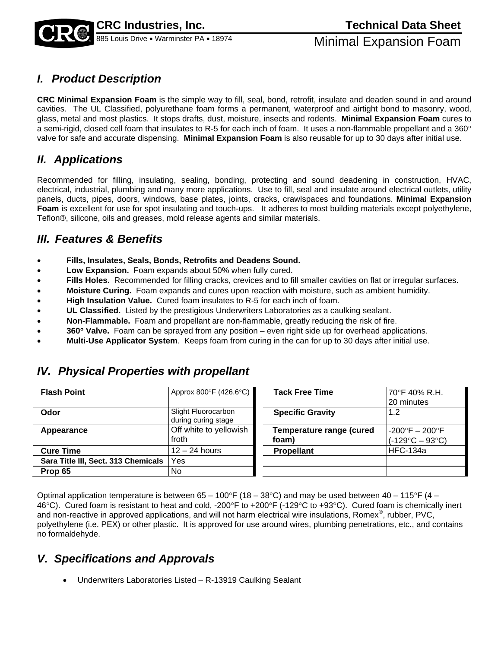

## *I. Product Description*

**CRC Minimal Expansion Foam** is the simple way to fill, seal, bond, retrofit, insulate and deaden sound in and around cavities. The UL Classified, polyurethane foam forms a permanent, waterproof and airtight bond to masonry, wood, glass, metal and most plastics. It stops drafts, dust, moisture, insects and rodents. **Minimal Expansion Foam** cures to a semi-rigid, closed cell foam that insulates to R-5 for each inch of foam. It uses a non-flammable propellant and a 360 $^{\circ}$ valve for safe and accurate dispensing. **Minimal Expansion Foam** is also reusable for up to 30 days after initial use.

## *II. Applications*

Recommended for filling, insulating, sealing, bonding, protecting and sound deadening in construction, HVAC, electrical, industrial, plumbing and many more applications. Use to fill, seal and insulate around electrical outlets, utility panels, ducts, pipes, doors, windows, base plates, joints, cracks, crawlspaces and foundations. **Minimal Expansion Foam** is excellent for use for spot insulating and touch-ups. It adheres to most building materials except polyethylene, Teflon®, silicone, oils and greases, mold release agents and similar materials.

## *III. Features & Benefits*

- **Fills, Insulates, Seals, Bonds, Retrofits and Deadens Sound.**
- **Low Expansion.** Foam expands about 50% when fully cured.
- **Fills Holes.** Recommended for filling cracks, crevices and to fill smaller cavities on flat or irregular surfaces.
- **Moisture Curing.** Foam expands and cures upon reaction with moisture, such as ambient humidity.
- **High Insulation Value.** Cured foam insulates to R-5 for each inch of foam.
- **UL Classified.** Listed by the prestigious Underwriters Laboratories as a caulking sealant.
- **Non-Flammable.** Foam and propellant are non-flammable, greatly reducing the risk of fire.
- **360 Valve.** Foam can be sprayed from any position even right side up for overhead applications.
- **Multi-Use Applicator System**. Keeps foam from curing in the can for up to 30 days after initial use.

| <b>Flash Point</b>                  | Арргох 800° Г (426.6°С)                    | <b>Tack Free Time</b>             | 70°F 40% R.H.<br>20 minutes                               |
|-------------------------------------|--------------------------------------------|-----------------------------------|-----------------------------------------------------------|
| Odor                                | Slight Fluorocarbon<br>during curing stage | <b>Specific Gravity</b>           | 1.2                                                       |
| Appearance                          | Off white to yellowish<br>froth            | Temperature range (cured<br>foam) | $-200^\circ$ F – 200°F<br>$(-129^{\circ}C - 93^{\circ}C)$ |
| <b>Cure Time</b>                    | $12 - 24$ hours                            | <b>Propellant</b>                 | HFC-134a                                                  |
| Sara Title III, Sect. 313 Chemicals | Yes                                        |                                   |                                                           |
| Prop 65                             | No.                                        |                                   |                                                           |

#### *IV. Physical Properties with propellant*

Optimal application temperature is between 65 – 100°F (18 – 38°C) and may be used between 40 – 115°F (4 – 46°C). Cured foam is resistant to heat and cold, -200°F to +200°F (-129°C to +93°C). Cured foam is chemically inert and non-reactive in approved applications, and will not harm electrical wire insulations, Romex<sup>®</sup>, rubber, PVC, polyethylene (i.e. PEX) or other plastic. It is approved for use around wires, plumbing penetrations, etc., and contains no formaldehyde.

## *V. Specifications and Approvals*

Underwriters Laboratories Listed – R-13919 Caulking Sealant